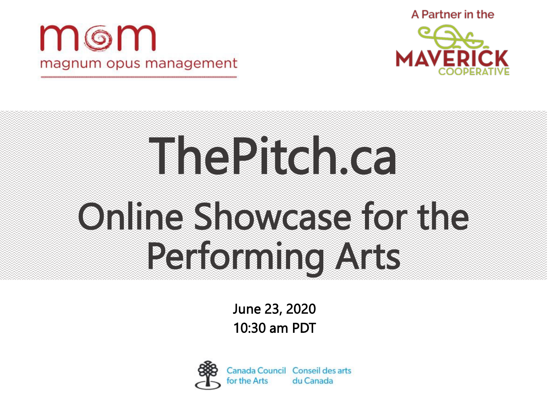





# ThePitch.ca Online Showcase for the Performing Arts

June 23, 2020 10:30 am PDT



Canada Council Conseil des arts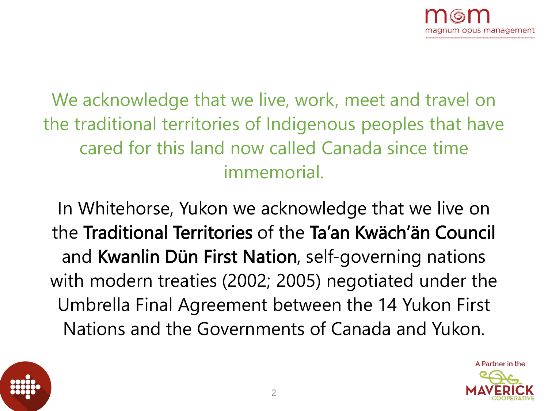We acknowledge that we live, work, meet and travel on the traditional territories of Indigenous peoples that have cared for this land now called Canada since time immemorial.

In Whitehorse, Yukon we acknowledge that we live on the Traditional Territories of the Ta'an Kwäch'än Council and Kwanlin Dün First Nation, self-governing nations with modern treaties (2002; 2005) negotiated under the Umbrella Final Agreement between the 14 Yukon First Nations and the Governments of Canada and Yukon.



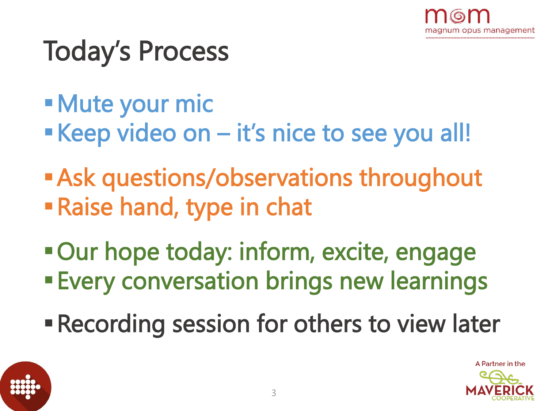

### Today's Process

- Mute your mic
- Keep video on it's nice to see you all!
- **Ask questions/observations throughout** Raise hand, type in chat
- **Our hope today: inform, excite, engage**
- **Every conversation brings new learnings**
- **Recording session for others to view later**



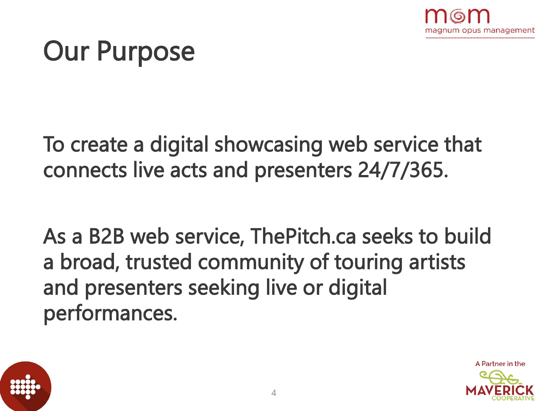

### Our Purpose

To create a digital showcasing web service that connects live acts and presenters 24/7/365.

As a B2B web service, ThePitch.ca seeks to build a broad, trusted community of touring artists and presenters seeking live or digital performances.



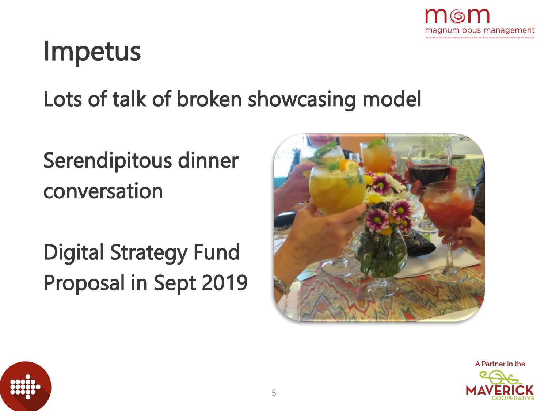

### Impetus

Lots of talk of broken showcasing model

### Serendipitous dinner conversation

Digital Strategy Fund Proposal in Sept 2019





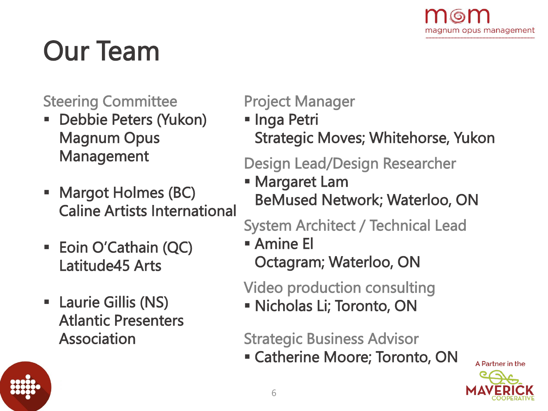

### Our Team

#### Steering Committee

- Debbie Peters (Yukon) Magnum Opus Management
- Margot Holmes (BC) Caline Artists International
- **Eoin O'Cathain (QC)** Latitude45 Arts
- Laurie Gillis (NS) Atlantic Presenters Association

Project Manager

**Inga Petri** Strategic Moves; Whitehorse, Yukon

#### Design Lead/Design Researcher

 Margaret Lam BeMused Network; Waterloo, ON

System Architect / Technical Lead

 Amine El Octagram; Waterloo, ON

Video production consulting

Nicholas Li; Toronto, ON

Strategic Business Advisor

Catherine Moore; Toronto, ON



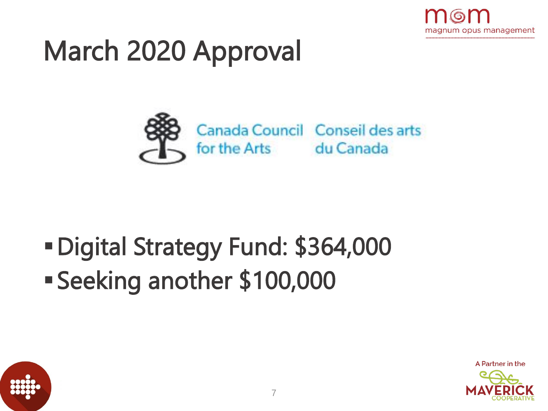

### March 2020 Approval



### Digital Strategy Fund: \$364,000 Seeking another \$100,000



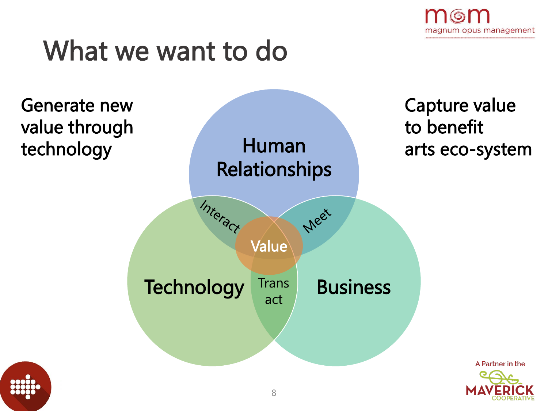

### What we want to do

Generate new value through technology





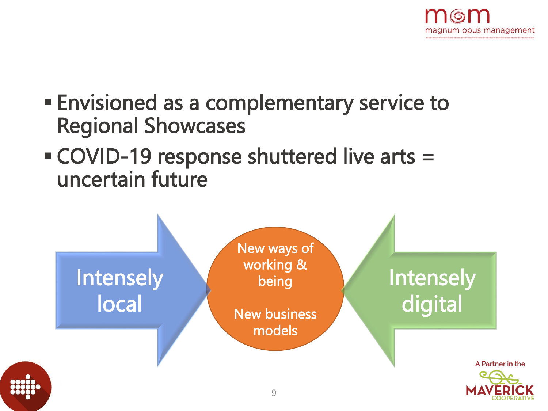

- Envisioned as a complementary service to Regional Showcases
- COVID-19 response shuttered live arts = uncertain future

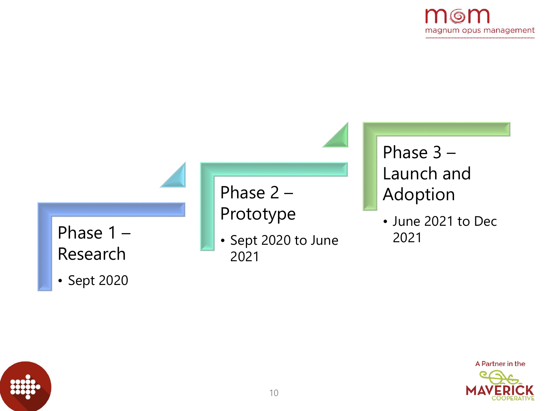





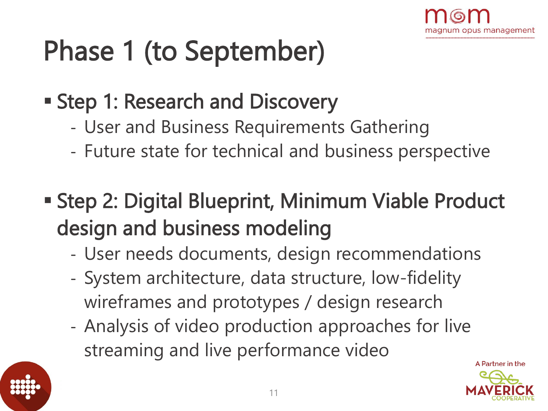

### Phase 1 (to September)

- **Step 1: Research and Discovery** 
	- User and Business Requirements Gathering
	- Future state for technical and business perspective
- Step 2: Digital Blueprint, Minimum Viable Product design and business modeling
	- User needs documents, design recommendations
	- System architecture, data structure, low-fidelity wireframes and prototypes / design research
	- Analysis of video production approaches for live streaming and live performance video



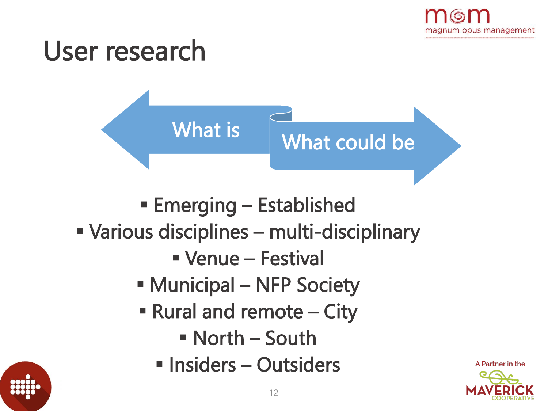



A Partner in the

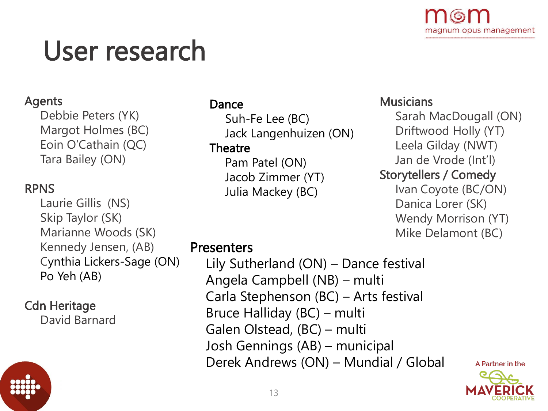

### User research

#### Agents

Debbie Peters (YK) Margot Holmes (BC) Eoin O'Cathain (QC) Tara Bailey (ON)

#### RPNS

Laurie Gillis (NS) Skip Taylor (SK) Marianne Woods (SK) Kennedy Jensen, (AB) Cynthia Lickers-Sage (ON) Po Yeh (AB)

#### Cdn Heritage

David Barnard

#### Dance

Suh-Fe Lee (BC) Jack Langenhuizen (ON)

#### **Theatre**

Pam Patel (ON) Jacob Zimmer (YT) Julia Mackey (BC)

#### **Musicians**

Sarah MacDougall (ON) Driftwood Holly (YT) Leela Gilday (NWT) Jan de Vrode (Int'l) Storytellers / Comedy Ivan Coyote (BC/ON) Danica Lorer (SK) Wendy Morrison (YT) Mike Delamont (BC)

#### **Presenters**

Lily Sutherland (ON) – Dance festival Angela Campbell (NB) – multi Carla Stephenson (BC) – Arts festival Bruce Halliday (BC) – multi Galen Olstead, (BC) – multi Josh Gennings (AB) – municipal Derek Andrews (ON) – Mundial / Global

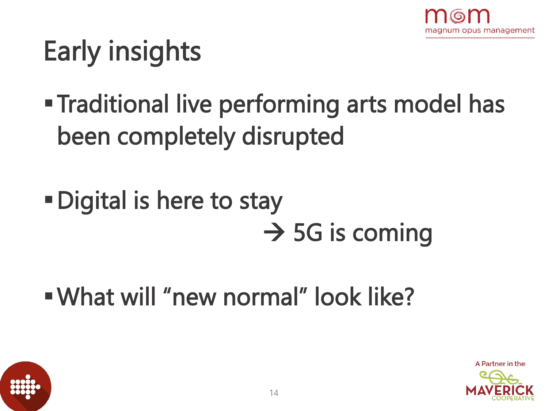

### Early insights

- **Traditional live performing arts model has** been completely disrupted
- Digital is here to stay  $\rightarrow$  5G is coming
- What will "new normal" look like?



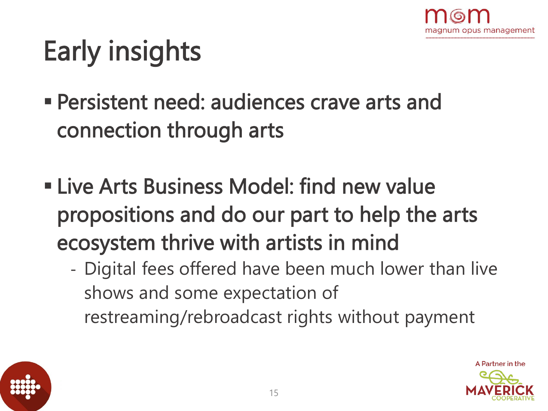

### Early insights

- Persistent need: audiences crave arts and connection through arts
- **Example 2 Filte Arts Business Model: find new value** propositions and do our part to help the arts ecosystem thrive with artists in mind
	- Digital fees offered have been much lower than live shows and some expectation of restreaming/rebroadcast rights without payment



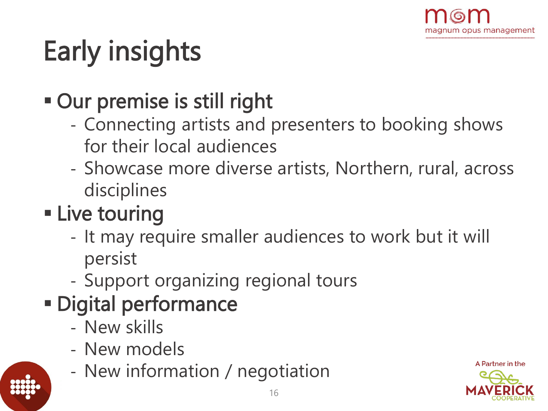

## Early insights

- Our premise is still right
	- Connecting artists and presenters to booking shows for their local audiences
	- Showcase more diverse artists, Northern, rural, across disciplines
- **Example touring** 
	- It may require smaller audiences to work but it will persist
	- Support organizing regional tours
- Digital performance
	- New skills
	- New models
	- New information / negotiation

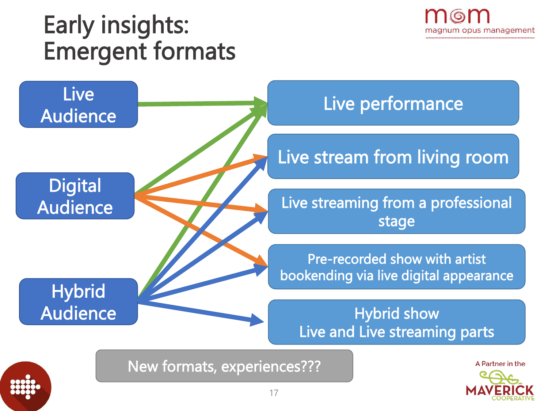### Early insights: Emergent formats



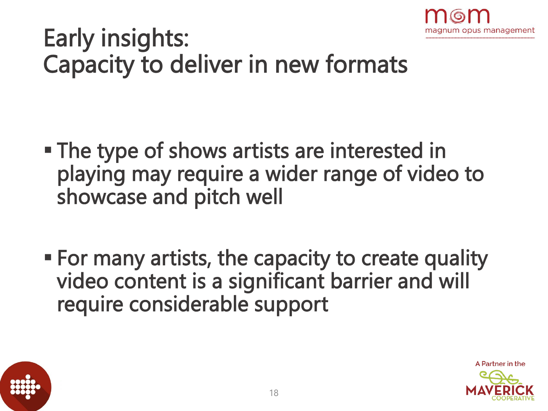

### Early insights: Capacity to deliver in new formats

- **The type of shows artists are interested in** playing may require a wider range of video to showcase and pitch well
- For many artists, the capacity to create quality video content is a significant barrier and will require considerable support



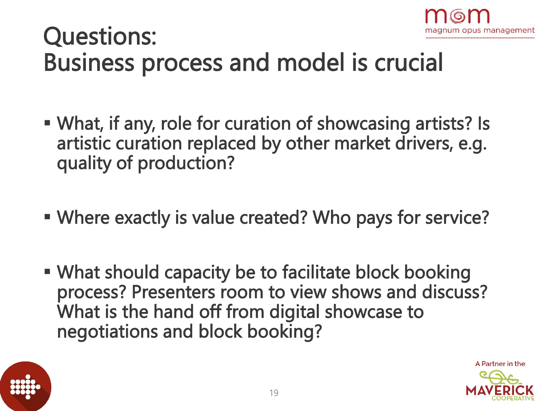

### Questions: Business process and model is crucial

- What, if any, role for curation of showcasing artists? Is artistic curation replaced by other market drivers, e.g. quality of production?
- Where exactly is value created? Who pays for service?
- What should capacity be to facilitate block booking process? Presenters room to view shows and discuss? What is the hand off from digital showcase to negotiations and block booking?



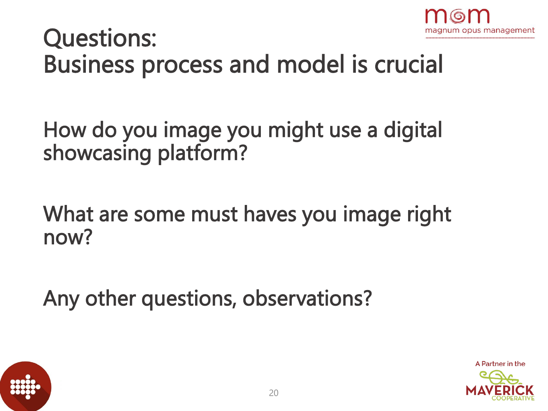

### Questions: Business process and model is crucial

How do you image you might use a digital showcasing platform?

What are some must haves you image right now?

Any other questions, observations?



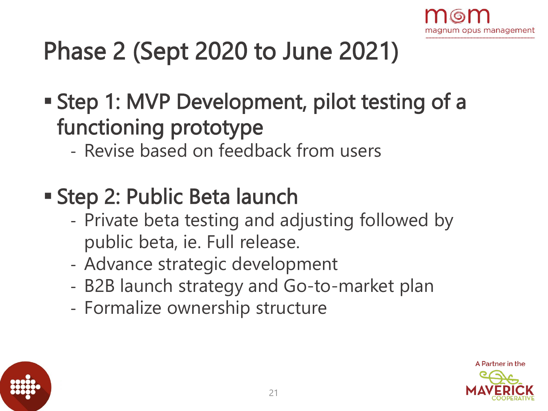

### Phase 2 (Sept 2020 to June 2021)

- Step 1: MVP Development, pilot testing of a functioning prototype
	- Revise based on feedback from users
- Step 2: Public Beta launch
	- Private beta testing and adjusting followed by public beta, ie. Full release.
	- Advance strategic development
	- B2B launch strategy and Go-to-market plan
	- Formalize ownership structure



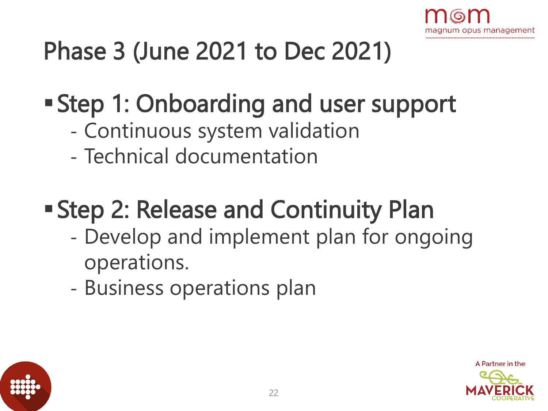

### Phase 3 (June 2021 to Dec 2021)

### Step 1: Onboarding and user support

- Continuous system validation
- Technical documentation

### **Step 2: Release and Continuity Plan**

- Develop and implement plan for ongoing operations.
- Business operations plan